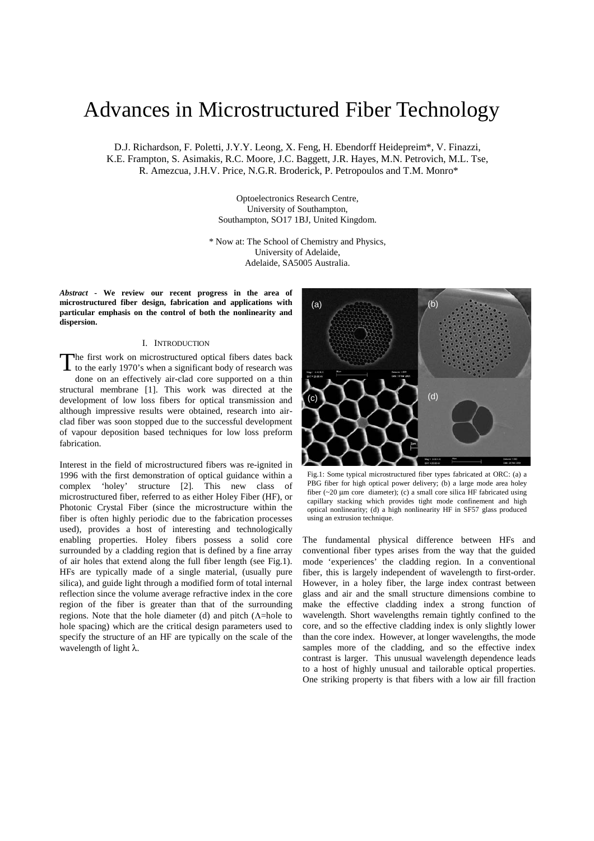# Advances in Microstructured Fiber Technology

D.J. Richardson, F. Poletti, J.Y.Y. Leong, X. Feng, H. Ebendorff Heidepreim\*, V. Finazzi, K.E. Frampton, S. Asimakis, R.C. Moore, J.C. Baggett, J.R. Hayes, M.N. Petrovich, M.L. Tse, R. Amezcua, J.H.V. Price, N.G.R. Broderick, P. Petropoulos and T.M. Monro\*

> Optoelectronics Research Centre, University of Southampton, Southampton, SO17 1BJ, United Kingdom.

\* Now at: The School of Chemistry and Physics, University of Adelaide, Adelaide, SA5005 Australia.

*Abstract* **- We review our recent progress in the area of microstructured fiber design, fabrication and applications with particular emphasis on the control of both the nonlinearity and dispersion.** 

## I. INTRODUCTION

The first work on microstructured optical fibers dates back The first work on microstructured optical fibers dates back<br>to the early 1970's when a significant body of research was done on an effectively air-clad core supported on a thin structural membrane [1]. This work was directed at the development of low loss fibers for optical transmission and although impressive results were obtained, research into airclad fiber was soon stopped due to the successful development of vapour deposition based techniques for low loss preform fabrication.

Interest in the field of microstructured fibers was re-ignited in 1996 with the first demonstration of optical guidance within a complex 'holey' structure [2]. This new class of microstructured fiber, referred to as either Holey Fiber (HF), or Photonic Crystal Fiber (since the microstructure within the fiber is often highly periodic due to the fabrication processes used), provides a host of interesting and technologically enabling properties. Holey fibers possess a solid core surrounded by a cladding region that is defined by a fine array of air holes that extend along the full fiber length (see Fig.1). HFs are typically made of a single material, (usually pure silica), and guide light through a modified form of total internal reflection since the volume average refractive index in the core region of the fiber is greater than that of the surrounding regions. Note that the hole diameter (d) and pitch (Λ=hole to hole spacing) which are the critical design parameters used to specify the structure of an HF are typically on the scale of the wavelength of light λ.



Fig.1: Some typical microstructured fiber types fabricated at ORC: (a) a PBG fiber for high optical power delivery; (b) a large mode area holey fiber (~20 µm core diameter); (c) a small core silica HF fabricated using capillary stacking which provides tight mode confinement and high optical nonlinearity; (d) a high nonlinearity HF in SF57 glass produced using an extrusion technique.

The fundamental physical difference between HFs and conventional fiber types arises from the way that the guided mode 'experiences' the cladding region. In a conventional fiber, this is largely independent of wavelength to first-order. However, in a holey fiber, the large index contrast between glass and air and the small structure dimensions combine to make the effective cladding index a strong function of wavelength. Short wavelengths remain tightly confined to the core, and so the effective cladding index is only slightly lower than the core index. However, at longer wavelengths, the mode samples more of the cladding, and so the effective index contrast is larger. This unusual wavelength dependence leads to a host of highly unusual and tailorable optical properties. One striking property is that fibers with a low air fill fraction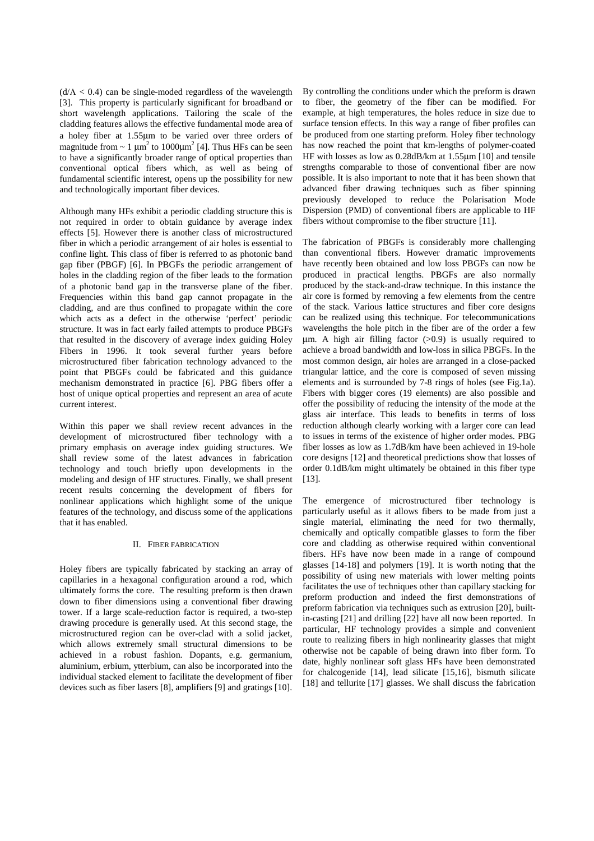$(d/\Lambda < 0.4)$  can be single-moded regardless of the wavelength [3]. This property is particularly significant for broadband or short wavelength applications. Tailoring the scale of the cladding features allows the effective fundamental mode area of a holey fiber at 1.55µm to be varied over three orders of magnitude from  $\sim 1 \mu m^2$  to 1000 $\mu m^2$  [4]. Thus HFs can be seen to have a significantly broader range of optical properties than conventional optical fibers which, as well as being of fundamental scientific interest, opens up the possibility for new and technologically important fiber devices.

Although many HFs exhibit a periodic cladding structure this is not required in order to obtain guidance by average index effects [5]. However there is another class of microstructured fiber in which a periodic arrangement of air holes is essential to confine light. This class of fiber is referred to as photonic band gap fiber (PBGF) [6]. In PBGFs the periodic arrangement of holes in the cladding region of the fiber leads to the formation of a photonic band gap in the transverse plane of the fiber. Frequencies within this band gap cannot propagate in the cladding, and are thus confined to propagate within the core which acts as a defect in the otherwise 'perfect' periodic structure. It was in fact early failed attempts to produce PBGFs that resulted in the discovery of average index guiding Holey Fibers in 1996. It took several further years before microstructured fiber fabrication technology advanced to the point that PBGFs could be fabricated and this guidance mechanism demonstrated in practice [6]. PBG fibers offer a host of unique optical properties and represent an area of acute current interest.

Within this paper we shall review recent advances in the development of microstructured fiber technology with a primary emphasis on average index guiding structures. We shall review some of the latest advances in fabrication technology and touch briefly upon developments in the modeling and design of HF structures. Finally, we shall present recent results concerning the development of fibers for nonlinear applications which highlight some of the unique features of the technology, and discuss some of the applications that it has enabled.

## II. FIBER FABRICATION

Holey fibers are typically fabricated by stacking an array of capillaries in a hexagonal configuration around a rod, which ultimately forms the core. The resulting preform is then drawn down to fiber dimensions using a conventional fiber drawing tower. If a large scale-reduction factor is required, a two-step drawing procedure is generally used. At this second stage, the microstructured region can be over-clad with a solid jacket, which allows extremely small structural dimensions to be achieved in a robust fashion. Dopants, e.g. germanium, aluminium, erbium, ytterbium, can also be incorporated into the individual stacked element to facilitate the development of fiber devices such as fiber lasers [8], amplifiers [9] and gratings [10]. By controlling the conditions under which the preform is drawn to fiber, the geometry of the fiber can be modified. For example, at high temperatures, the holes reduce in size due to surface tension effects. In this way a range of fiber profiles can be produced from one starting preform. Holey fiber technology has now reached the point that km-lengths of polymer-coated HF with losses as low as 0.28dB/km at 1.55µm [10] and tensile strengths comparable to those of conventional fiber are now possible. It is also important to note that it has been shown that advanced fiber drawing techniques such as fiber spinning previously developed to reduce the Polarisation Mode Dispersion (PMD) of conventional fibers are applicable to HF fibers without compromise to the fiber structure [11].

The fabrication of PBGFs is considerably more challenging than conventional fibers. However dramatic improvements have recently been obtained and low loss PBGFs can now be produced in practical lengths. PBGFs are also normally produced by the stack-and-draw technique. In this instance the air core is formed by removing a few elements from the centre of the stack. Various lattice structures and fiber core designs can be realized using this technique. For telecommunications wavelengths the hole pitch in the fiber are of the order a few um. A high air filling factor  $(>0.9)$  is usually required to achieve a broad bandwidth and low-loss in silica PBGFs. In the most common design, air holes are arranged in a close-packed triangular lattice, and the core is composed of seven missing elements and is surrounded by 7-8 rings of holes (see Fig.1a). Fibers with bigger cores (19 elements) are also possible and offer the possibility of reducing the intensity of the mode at the glass air interface. This leads to benefits in terms of loss reduction although clearly working with a larger core can lead to issues in terms of the existence of higher order modes. PBG fiber losses as low as 1.7dB/km have been achieved in 19-hole core designs [12] and theoretical predictions show that losses of order 0.1dB/km might ultimately be obtained in this fiber type [13].

The emergence of microstructured fiber technology is particularly useful as it allows fibers to be made from just a single material, eliminating the need for two thermally, chemically and optically compatible glasses to form the fiber core and cladding as otherwise required within conventional fibers. HFs have now been made in a range of compound glasses [14-18] and polymers [19]. It is worth noting that the possibility of using new materials with lower melting points facilitates the use of techniques other than capillary stacking for preform production and indeed the first demonstrations of preform fabrication via techniques such as extrusion [20], builtin-casting [21] and drilling [22] have all now been reported. In particular, HF technology provides a simple and convenient route to realizing fibers in high nonlinearity glasses that might otherwise not be capable of being drawn into fiber form. To date, highly nonlinear soft glass HFs have been demonstrated for chalcogenide [14], lead silicate [15,16], bismuth silicate [18] and tellurite [17] glasses. We shall discuss the fabrication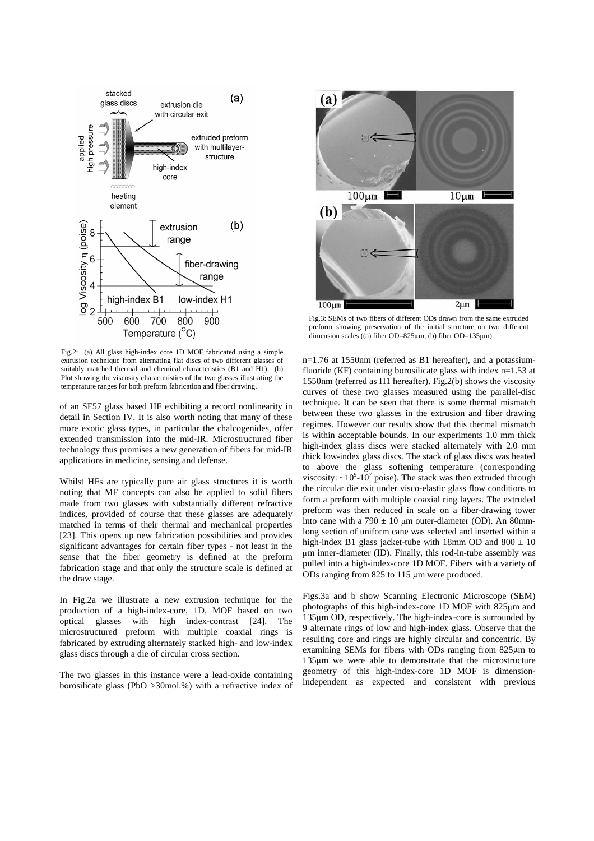

Fig.2: (a) All glass high-index core 1D MOF fabricated using a simple extrusion technique from alternating flat discs of two different glasses of suitably matched thermal and chemical characteristics (B1 and H1). (b) Plot showing the viscosity characteristics of the two glasses illustrating the temperature ranges for both preform fabrication and fiber drawing.

of an SF57 glass based HF exhibiting a record nonlinearity in detail in Section IV. It is also worth noting that many of these more exotic glass types, in particular the chalcogenides, offer extended transmission into the mid-IR. Microstructured fiber technology thus promises a new generation of fibers for mid-IR applications in medicine, sensing and defense.

Whilst HFs are typically pure air glass structures it is worth noting that MF concepts can also be applied to solid fibers made from two glasses with substantially different refractive indices, provided of course that these glasses are adequately matched in terms of their thermal and mechanical properties [23]. This opens up new fabrication possibilities and provides significant advantages for certain fiber types - not least in the sense that the fiber geometry is defined at the preform fabrication stage and that only the structure scale is defined at the draw stage.

In Fig.2a we illustrate a new extrusion technique for the production of a high-index-core, 1D, MOF based on two optical glasses with high index-contrast [24]. The microstructured preform with multiple coaxial rings is fabricated by extruding alternately stacked high- and low-index glass discs through a die of circular cross section.

The two glasses in this instance were a lead-oxide containing borosilicate glass (PbO >30mol.%) with a refractive index of



Fig.3: SEMs of two fibers of different ODs drawn from the same extruded preform showing preservation of the initial structure on two different dimension scales ((a) fiber OD=825 $\mu$ m, (b) fiber OD=135 $\mu$ m).

n=1.76 at 1550nm (referred as B1 hereafter), and a potassiumfluoride (KF) containing borosilicate glass with index n=1.53 at 1550nm (referred as H1 hereafter). Fig.2(b) shows the viscosity curves of these two glasses measured using the parallel-disc technique. It can be seen that there is some thermal mismatch between these two glasses in the extrusion and fiber drawing regimes. However our results show that this thermal mismatch is within acceptable bounds. In our experiments 1.0 mm thick high-index glass discs were stacked alternately with 2.0 mm thick low-index glass discs. The stack of glass discs was heated to above the glass softening temperature (corresponding viscosity:  $\sim 10^9$ -10<sup>7</sup> poise). The stack was then extruded through the circular die exit under visco-elastic glass flow conditions to form a preform with multiple coaxial ring layers. The extruded preform was then reduced in scale on a fiber-drawing tower into cane with a  $790 \pm 10$  µm outer-diameter (OD). An 80mmlong section of uniform cane was selected and inserted within a high-index B1 glass jacket-tube with 18mm OD and  $800 \pm 10$  m inner-diameter (ID). Finally, this rod-in-tube assembly was pulled into a high-index-core 1D MOF. Fibers with a variety of ODs ranging from 825 to 115 m were produced.

Figs.3a and b show Scanning Electronic Microscope (SEM) photographs of this high-index-core 1D MOF with 825 m and 135 m OD, respectively. The high-index-core is surrounded by 9 alternate rings of low and high-index glass. Observe that the resulting core and rings are highly circular and concentric. By examining SEMs for fibers with ODs ranging from 825 m to 135 m we were able to demonstrate that the microstructure geometry of this high-index-core 1D MOF is dimensionindependent as expected and consistent with previous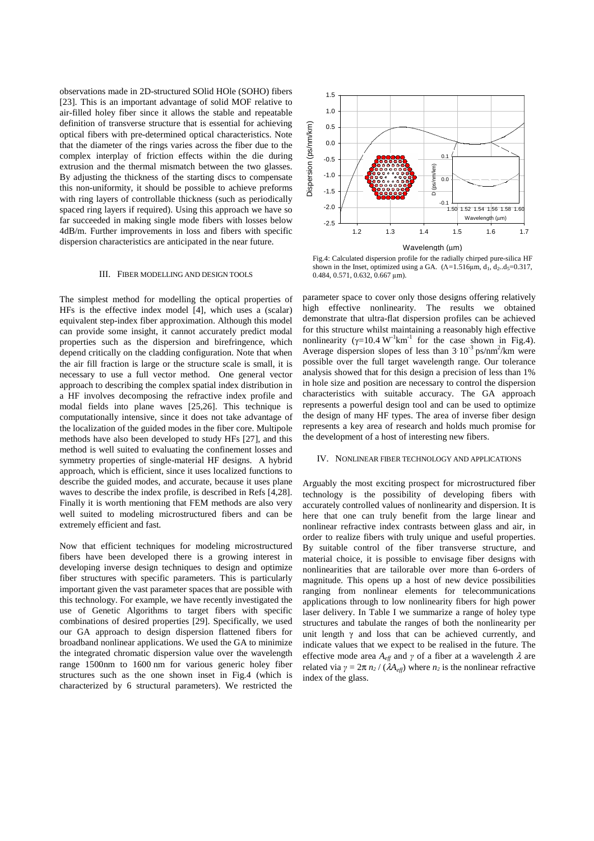observations made in 2D-structured SOlid HOle (SOHO) fibers [23]. This is an important advantage of solid MOF relative to air-filled holey fiber since it allows the stable and repeatable definition of transverse structure that is essential for achieving optical fibers with pre-determined optical characteristics. Note that the diameter of the rings varies across the fiber due to the complex interplay of friction effects within the die during extrusion and the thermal mismatch between the two glasses. By adjusting the thickness of the starting discs to compensate this non-uniformity, it should be possible to achieve preforms with ring layers of controllable thickness (such as periodically spaced ring layers if required). Using this approach we have so far succeeded in making single mode fibers with losses below 4dB/m. Further improvements in loss and fibers with specific dispersion characteristics are anticipated in the near future.

#### III. FIBER MODELLING AND DESIGN TOOLS

The simplest method for modelling the optical properties of HFs is the effective index model [4], which uses a (scalar) equivalent step-index fiber approximation. Although this model can provide some insight, it cannot accurately predict modal properties such as the dispersion and birefringence, which depend critically on the cladding configuration. Note that when the air fill fraction is large or the structure scale is small, it is necessary to use a full vector method. One general vector approach to describing the complex spatial index distribution in a HF involves decomposing the refractive index profile and modal fields into plane waves [25,26]. This technique is computationally intensive, since it does not take advantage of the localization of the guided modes in the fiber core. Multipole methods have also been developed to study HFs [27], and this method is well suited to evaluating the confinement losses and symmetry properties of single-material HF designs. A hybrid approach, which is efficient, since it uses localized functions to describe the guided modes, and accurate, because it uses plane waves to describe the index profile, is described in Refs [4,28]. Finally it is worth mentioning that FEM methods are also very well suited to modeling microstructured fibers and can be extremely efficient and fast.

Now that efficient techniques for modeling microstructured fibers have been developed there is a growing interest in developing inverse design techniques to design and optimize fiber structures with specific parameters. This is particularly important given the vast parameter spaces that are possible with this technology. For example, we have recently investigated the use of Genetic Algorithms to target fibers with specific combinations of desired properties [29]. Specifically, we used our GA approach to design dispersion flattened fibers for broadband nonlinear applications. We used the GA to minimize the integrated chromatic dispersion value over the wavelength range 1500nm to 1600 nm for various generic holey fiber structures such as the one shown inset in Fig.4 (which is characterized by 6 structural parameters). We restricted the



Fig.4: Calculated dispersion profile for the radially chirped pure-silica HF shown in the Inset, optimized using a GA.  $(A=1.516\mu m, d_1, d_2. d_5=0.317,$  $0.484, 0.571, 0.632, 0.667 \text{ }\mu\text{m}$ ).

parameter space to cover only those designs offering relatively high effective nonlinearity. The results we obtained demonstrate that ultra-flat dispersion profiles can be achieved for this structure whilst maintaining a reasonably high effective nonlinearity  $(\gamma=10.4 \text{ W}^{-1} \text{km}^{-1})$  for the case shown in Fig.4). Average dispersion slopes of less than  $3 \times 10^{-3}$  ps/nm<sup>2</sup>/km were possible over the full target wavelength range. Our tolerance analysis showed that for this design a precision of less than 1% in hole size and position are necessary to control the dispersion characteristics with suitable accuracy. The GA approach represents a powerful design tool and can be used to optimize the design of many HF types. The area of inverse fiber design represents a key area of research and holds much promise for the development of a host of interesting new fibers.

#### IV. NONLINEAR FIBER TECHNOLOGY AND APPLICATIONS

Arguably the most exciting prospect for microstructured fiber technology is the possibility of developing fibers with accurately controlled values of nonlinearity and dispersion. It is here that one can truly benefit from the large linear and nonlinear refractive index contrasts between glass and air, in order to realize fibers with truly unique and useful properties. By suitable control of the fiber transverse structure, and material choice, it is possible to envisage fiber designs with nonlinearities that are tailorable over more than 6-orders of magnitude. This opens up a host of new device possibilities ranging from nonlinear elements for telecommunications applications through to low nonlinearity fibers for high power laser delivery. In Table I we summarize a range of holey type structures and tabulate the ranges of both the nonlinearity per unit length  $\gamma$  and loss that can be achieved currently, and indicate values that we expect to be realised in the future. The effective mode area  $A_{\text{eff}}$  and  $\gamma$  of a fiber at a wavelength  $\lambda$  are related via  $\gamma = 2\pi n_2 / (\lambda A_{\text{eff}})$  where  $n_2$  is the nonlinear refractive index of the glass.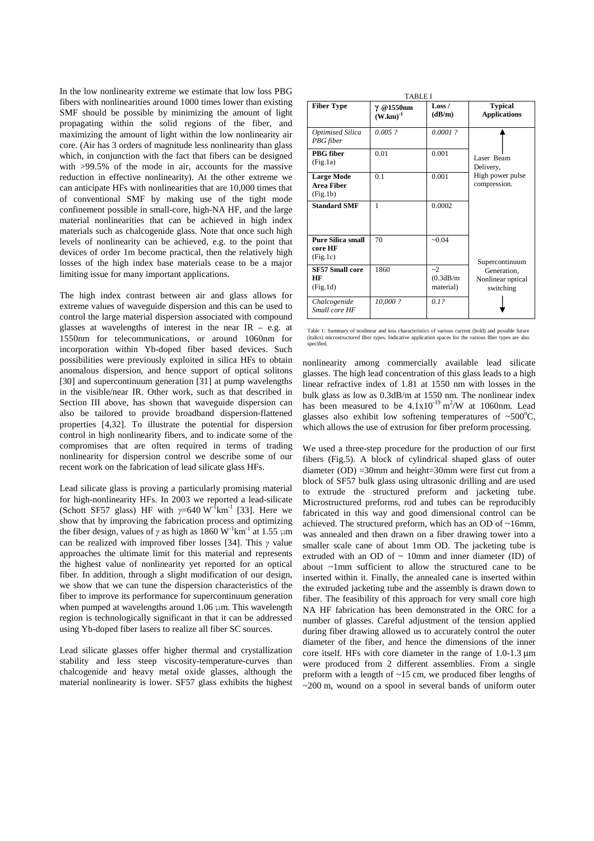In the low nonlinearity extreme we estimate that low loss PBG fibers with nonlinearities around 1000 times lower than existing SMF should be possible by minimizing the amount of light propagating within the solid regions of the fiber, and maximizing the amount of light within the low nonlinearity air core. (Air has 3 orders of magnitude less nonlinearity than glass which, in conjunction with the fact that fibers can be designed with >99.5% of the mode in air, accounts for the massive reduction in effective nonlinearity). At the other extreme we can anticipate HFs with nonlinearities that are 10,000 times that of conventional SMF by making use of the tight mode confinement possible in small-core, high-NA HF, and the large material nonlinearities that can be achieved in high index materials such as chalcogenide glass. Note that once such high levels of nonlinearity can be achieved, e.g. to the point that devices of order 1m become practical, then the relatively high losses of the high index base materials cease to be a major limiting issue for many important applications.

The high index contrast between air and glass allows for extreme values of waveguide dispersion and this can be used to control the large material dispersion associated with compound glasses at wavelengths of interest in the near IR – e.g. at 1550nm for telecommunications, or around 1060nm for incorporation within Yb-doped fiber based devices. Such possibilities were previously exploited in silica HFs to obtain anomalous dispersion, and hence support of optical solitons [30] and supercontinuum generation [31] at pump wavelengths in the visible/near IR. Other work, such as that described in Section III above, has shown that waveguide dispersion can also be tailored to provide broadband dispersion-flattened properties [4,32]. To illustrate the potential for dispersion control in high nonlinearity fibers, and to indicate some of the compromises that are often required in terms of trading nonlinearity for dispersion control we describe some of our recent work on the fabrication of lead silicate glass HFs.

Lead silicate glass is proving a particularly promising material for high-nonlinearity HFs. In 2003 we reported a lead-silicate (Schott SF57 glass) HF with  $v=640 \text{ W}^{-1} \text{km}^{-1}$  [33]. Here we show that by improving the fabrication process and optimizing the fiber design, values of  $\gamma$  as high as 1860 W<sup>-1</sup>km<sup>-1</sup> at 1.55  $\mu$ m was an can be realized with improved fiber losses [34]. This  $\gamma$  value approaches the ultimate limit for this material and represents the highest value of nonlinearity yet reported for an optical fiber. In addition, through a slight modification of our design, we show that we can tune the dispersion characteristics of the fiber to improve its performance for supercontinuum generation when pumped at wavelengths around  $1.06 \mu m$ . This wavelength region is technologically significant in that it can be addressed using Yb-doped fiber lasers to realize all fiber SC sources.

Lead silicate glasses offer higher thermal and crystallization stability and less steep viscosity-temperature-curves than chalcogenide and heavy metal oxide glasses, although the material nonlinearity is lower. SF57 glass exhibits the highest

| <b>TABLE I</b>                                     |                            |                                |                                                             |
|----------------------------------------------------|----------------------------|--------------------------------|-------------------------------------------------------------|
| <b>Fiber Type</b>                                  | γ @1550nm<br>$(W.km)^{-1}$ | Loss $/$<br>(dB/m)             | <b>Typical</b><br><b>Applications</b>                       |
| Optimised Silica<br>PBG fiber                      | $0.005$ ?                  | $0.0001$ ?                     |                                                             |
| PBG fiber<br>(Fig.1a)                              | 0.01                       | 0.001                          | Laser Beam<br>Delivery,<br>High power pulse<br>compression. |
| <b>Large Mode</b><br><b>Area Fiber</b><br>(Fig.1b) | 0.1                        | 0.001                          |                                                             |
| <b>Standard SMF</b>                                | $\mathbf{1}$               | 0.0002                         |                                                             |
| <b>Pure Silica small</b><br>core HF<br>(Fig.1c)    | 70                         | $-0.04$                        | Supercontinuum                                              |
| <b>SF57 Small core</b><br>HF<br>(Fig.1d)           | 1860                       | $-2$<br>(0.3dB/m)<br>material) | Generation,<br>Nonlinear optical<br>switching               |
| Chalcogenide<br>Small core HF                      | 10,000 ?                   | 0.12                           |                                                             |

Table 1: Summary of nonlinear and loss characteristics of various current (bold) and possible future (italics) microstructured fiber types. Indicative application spaces for the various fiber types are also specified.

nonlinearity among commercially available lead silicate glasses. The high lead concentration of this glass leads to a high linear refractive index of 1.81 at 1550 nm with losses in the bulk glass as low as 0.3dB/m at 1550 nm. The nonlinear index has been measured to be  $4.1 \times 10^{-19}$  m<sup>2</sup>/W at 1060nm. Lead glasses also exhibit low softening temperatures of  $~500^{\circ}$ C, which allows the use of extrusion for fiber preform processing.

We used a three-step procedure for the production of our first fibers (Fig.5). A block of cylindrical shaped glass of outer diameter (OD) =30mm and height=30mm were first cut from a block of SF57 bulk glass using ultrasonic drilling and are used to extrude the structured preform and jacketing tube. Microstructured preforms, rod and tubes can be reproducibly fabricated in this way and good dimensional control can be achieved. The structured preform, which has an OD of ~16mm, was annealed and then drawn on a fiber drawing tower into a smaller scale cane of about 1mm OD. The jacketing tube is extruded with an OD of  $\sim$  10mm and inner diameter (ID) of about ~1mm sufficient to allow the structured cane to be inserted within it. Finally, the annealed cane is inserted within the extruded jacketing tube and the assembly is drawn down to fiber. The feasibility of this approach for very small core high NA HF fabrication has been demonstrated in the ORC for a number of glasses. Careful adjustment of the tension applied during fiber drawing allowed us to accurately control the outer diameter of the fiber, and hence the dimensions of the inner core itself. HFs with core diameter in the range of 1.0-1.3 µm were produced from 2 different assemblies. From a single preform with a length of  $\sim$ 15 cm, we produced fiber lengths of  $\sim$ 200 m, wound on a spool in several bands of uniform outer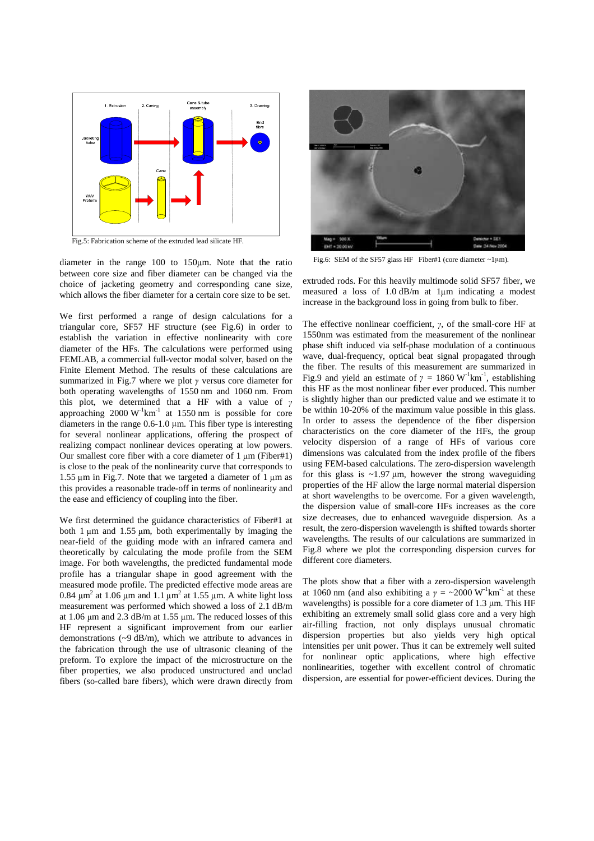

Fig.5: Fabrication scheme of the extruded lead silicate HF.

diameter in the range 100 to 150 m. Note that the ratio between core size and fiber diameter can be changed via the choice of jacketing geometry and corresponding cane size, which allows the fiber diameter for a certain core size to be set.

We first performed a range of design calculations for a triangular core, SF57 HF structure (see Fig.6) in order to establish the variation in effective nonlinearity with core diameter of the HFs. The calculations were performed using FEMLAB, a commercial full-vector modal solver, based on the Finite Element Method. The results of these calculations are summarized in Fig.7 where we plot  $\gamma$  versus core diameter for both operating wavelengths of 1550 nm and 1060 nm. From this plot, we determined that a HF with a value of  $\gamma$ approaching  $2000 \text{ W}^{-1} \text{km}^{-1}$  at 1550 nm is possible for core diameters in the range 0.6-1.0 m. This fiber type is interesting for several nonlinear applications, offering the prospect of realizing compact nonlinear devices operating at low powers. Our smallest core fiber with a core diameter of 1 m (Fiber#1) is close to the peak of the nonlinearity curve that corresponds to 1.55  $\mu$ m in Fig.7. Note that we targeted a diameter of 1  $\mu$ m as <sup>10</sup> this provides a reasonable trade-off in terms of nonlinearity and the ease and efficiency of coupling into the fiber.

We first determined the guidance characteristics of Fiber#1 at both 1 m and 1.55 m, both experimentally by imaging the near-field of the guiding mode with an infrared camera and theoretically by calculating the mode profile from the SEM image. For both wavelengths, the predicted fundamental mode profile has a triangular shape in good agreement with the measured mode profile. The predicted effective mode areas are 0.84  $\mu$ m<sup>2</sup> at 1.06  $\mu$ m and 1.1  $\mu$ m<sup>2</sup> at 1.55  $\mu$ m. A white light loss measurement was performed which showed a loss of 2.1 dB/m at 1.06 m and 2.3 dB/m at 1.55 m. The reduced losses of this HF represent a significant improvement from our earlier demonstrations (~9 dB/m), which we attribute to advances in the fabrication through the use of ultrasonic cleaning of the preform. To explore the impact of the microstructure on the fiber properties, we also produced unstructured and unclad fibers (so-called bare fibers), which were drawn directly from



Fig.6: SEM of the SF57 glass HF Fiber#1 (core diameter  $\sim$ 1 $\mu$ m).

extruded rods. For this heavily multimode solid SF57 fiber, we measured a loss of 1.0 dB/m at 1µm indicating a modest increase in the background loss in going from bulk to fiber.

The effective nonlinear coefficient,  $\gamma$ , of the small-core HF at 1550nm was estimated from the measurement of the nonlinear phase shift induced via self-phase modulation of a continuous wave, dual-frequency, optical beat signal propagated through the fiber. The results of this measurement are summarized in Fig.9 and yield an estimate of  $\gamma = 1860 \text{ W}^{-1} \text{km}^{-1}$ , establishing this HF as the most nonlinear fiber ever produced. This number is slightly higher than our predicted value and we estimate it to be within 10-20% of the maximum value possible in this glass. In order to assess the dependence of the fiber dispersion characteristics on the core diameter of the HFs, the group velocity dispersion of a range of HFs of various core dimensions was calculated from the index profile of the fibers using FEM-based calculations. The zero-dispersion wavelength for this glass is  $\sim$ 1.97  $\mu$ m, however the strong waveguiding properties of the HF allow the large normal material dispersion at short wavelengths to be overcome. For a given wavelength, the dispersion value of small-core HFs increases as the core size decreases, due to enhanced waveguide dispersion. As a result, the zero-dispersion wavelength is shifted towards shorter wavelengths. The results of our calculations are summarized in Fig.8 where we plot the corresponding dispersion curves for different core diameters.

The plots show that a fiber with a zero-dispersion wavelength at 1060 nm (and also exhibiting a  $\gamma = \sim 2000 \text{ W}^{-1} \text{km}^{-1}$  at these wavelengths) is possible for a core diameter of 1.3  $\mu$ m. This HF exhibiting an extremely small solid glass core and a very high air-filling fraction, not only displays unusual chromatic dispersion properties but also yields very high optical intensities per unit power. Thus it can be extremely well suited for nonlinear optic applications, where high effective nonlinearities, together with excellent control of chromatic dispersion, are essential for power-efficient devices. During the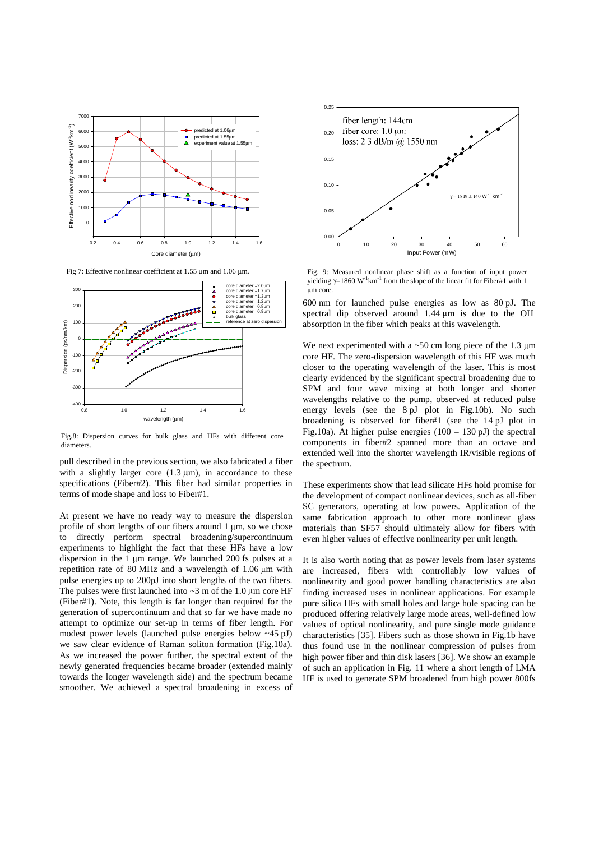

Fig 7: Effective nonlinear coefficient at 1.55 um and 1.06 um.



Fig.8: Dispersion curves for bulk glass and HFs with different core diameters.

pull described in the previous section, we also fabricated a fiber with a slightly larger core  $(1.3 \mu m)$ , in accordance to these specifications (Fiber#2). This fiber had similar properties in terms of mode shape and loss to Fiber#1.

At present we have no ready way to measure the dispersion profile of short lengths of our fibers around 1  $\mu$ m, so we chose to directly perform spectral broadening/supercontinuum experiments to highlight the fact that these HFs have a low dispersion in the 1 m range. We launched 200 fs pulses at a repetition rate of 80 MHz and a wavelength of 1.06  $\mu$ m with pulse energies up to 200pJ into short lengths of the two fibers. The pulses were first launched into  $\sim$ 3 m of the 1.0  $\mu$ m core HF (Fiber#1). Note, this length is far longer than required for the generation of supercontinuum and that so far we have made no attempt to optimize our set-up in terms of fiber length. For modest power levels (launched pulse energies below ~45 pJ) we saw clear evidence of Raman soliton formation (Fig.10a). As we increased the power further, the spectral extent of the newly generated frequencies became broader (extended mainly towards the longer wavelength side) and the spectrum became smoother. We achieved a spectral broadening in excess of



Fig. 9: Measured nonlinear phase shift as a function of input power vielding  $\gamma = 1860 \text{ W}^{-1} \text{km}^{-1}$  from the slope of the linear fit for Fiber#1 with 1 um core.

600 nm for launched pulse energies as low as 80 pJ. The spectral dip observed around 1.44  $\mu$ m is due to the OH absorption in the fiber which peaks at this wavelength.

We next experimented with a  $\sim 50$  cm long piece of the 1.3  $\mu$ m core HF. The zero-dispersion wavelength of this HF was much closer to the operating wavelength of the laser. This is most clearly evidenced by the significant spectral broadening due to SPM and four wave mixing at both longer and shorter wavelengths relative to the pump, observed at reduced pulse energy levels (see the 8 pJ plot in Fig.10b). No such broadening is observed for fiber#1 (see the 14 pJ plot in Fig.10a). At higher pulse energies (100 – 130 pJ) the spectral components in fiber#2 spanned more than an octave and extended well into the shorter wavelength IR/visible regions of the spectrum.

These experiments show that lead silicate HFs hold promise for the development of compact nonlinear devices, such as all-fiber SC generators, operating at low powers. Application of the same fabrication approach to other more nonlinear glass materials than SF57 should ultimately allow for fibers with even higher values of effective nonlinearity per unit length.

It is also worth noting that as power levels from laser systems are increased, fibers with controllably low values of nonlinearity and good power handling characteristics are also finding increased uses in nonlinear applications. For example pure silica HFs with small holes and large hole spacing can be produced offering relatively large mode areas, well-defined low values of optical nonlinearity, and pure single mode guidance characteristics [35]. Fibers such as those shown in Fig.1b have thus found use in the nonlinear compression of pulses from high power fiber and thin disk lasers [36]. We show an example of such an application in Fig. 11 where a short length of LMA HF is used to generate SPM broadened from high power 800fs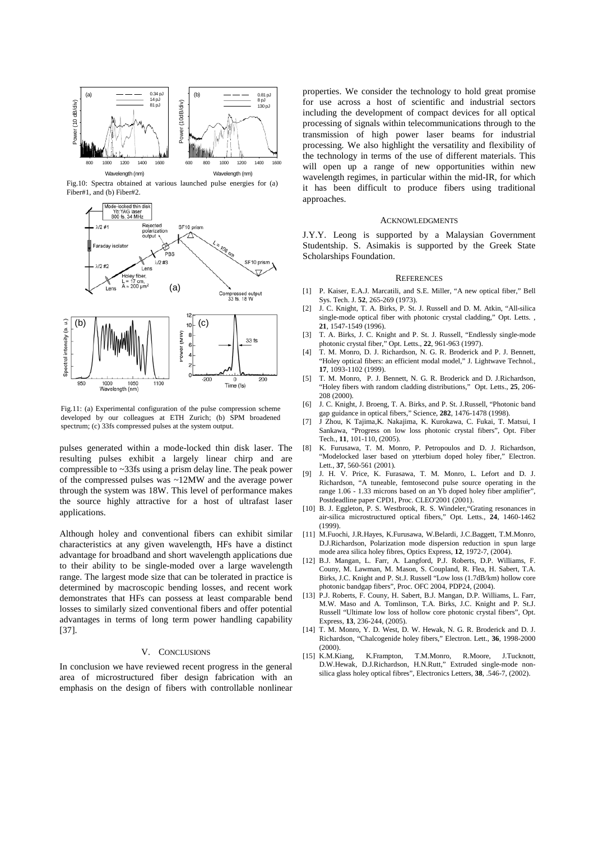

Fig.10: Spectra obtained at various launched pulse energies for (a) Fiber#1, and (b) Fiber#2.



Fig.11: (a) Experimental configuration of the pulse compression scheme developed by our colleagues at ETH Zurich; (b) SPM broadened spectrum; (c) 33fs compressed pulses at the system output.

pulses generated within a mode-locked thin disk laser. The resulting pulses exhibit a largely linear chirp and are compressible to ~33fs using a prism delay line. The peak power of the compressed pulses was ~12MW and the average power through the system was 18W. This level of performance makes the source highly attractive for a host of ultrafast laser applications.

Although holey and conventional fibers can exhibit similar characteristics at any given wavelength, HFs have a distinct advantage for broadband and short wavelength applications due to their ability to be single-moded over a large wavelength range. The largest mode size that can be tolerated in practice is determined by macroscopic bending losses, and recent work demonstrates that HFs can possess at least comparable bend losses to similarly sized conventional fibers and offer potential advantages in terms of long term power handling capability [37].

#### V. CONCLUSIONS

In conclusion we have reviewed recent progress in the general area of microstructured fiber design fabrication with an emphasis on the design of fibers with controllable nonlinear

properties. We consider the technology to hold great promise for use across a host of scientific and industrial sectors including the development of compact devices for all optical processing of signals within telecommunications through to the transmission of high power laser beams for industrial processing. We also highlight the versatility and flexibility of the technology in terms of the use of different materials. This will open up a range of new opportunities within new wavelength regimes, in particular within the mid-IR, for which it has been difficult to produce fibers using traditional approaches.

#### **ACKNOWLEDGMENTS**

J.Y.Y. Leong is supported by a Malaysian Government Studentship. S. Asimakis is supported by the Greek State Scholarships Foundation.

### **REFERENCES**

- [1] P. Kaiser, E.A.J. Marcatili, and S.E. Miller, "A new optical fiber," Bell Sys. Tech. J. **52**, 265-269 (1973).
- [2] J. C. Knight, T. A. Birks, P. St. J. Russell and D. M. Atkin, "All-silica single-mode optical fiber with photonic crystal cladding," Opt. Letts. , **21**, 1547-1549 (1996).
- [3] T. A. Birks, J. C. Knight and P. St. J. Russell, "Endlessly single-mode photonic crystal fiber," Opt. Letts., **22**, 961-963 (1997).
- [4] T. M. Monro, D. J. Richardson, N. G. R. Broderick and P. J. Bennett, "Holey optical fibers: an efficient modal model," J. Lightwave Technol., **17**, 1093-1102 (1999).
- [5] T. M. Monro, P. J. Bennett, N. G. R. Broderick and D. J.Richardson, "Holey fibers with random cladding distributions," Opt. Letts., **25**, 206- 208 (2000).
- [6] J. C. Knight, J. Broeng, T. A. Birks, and P. St. J.Russell, "Photonic band gap guidance in optical fibers," Science, **282**, 1476-1478 (1998).
- [7] J Zhou, K Tajima,K. Nakajima, K. Kurokawa, C. Fukai, T. Matsui, I Sankawa, "Progress on low loss photonic crystal fibers", Opt. Fiber Tech., **11**, 101-110, (2005).
- [8] K. Furusawa, T. M. Monro, P. Petropoulos and D. J. Richardson, "Modelocked laser based on ytterbium doped holey fiber," Electron. Lett., **37**, 560-561 (2001).
- [9] J. H. V. Price, K. Furasawa, T. M. Monro, L. Lefort and D. J. Richardson, "A tuneable, femtosecond pulse source operating in the range 1.06 - 1.33 microns based on an Yb doped holey fiber amplifier", Postdeadline paper CPD1, Proc. CLEO'2001 (2001).
- [10] B. J. Eggleton, P. S. Westbrook, R. S. Windeler, "Grating resonances in air-silica microstructured optical fibers," Opt. Letts., **24**, 1460-1462 (1999).
- [11] M.Fuochi, J.R.Hayes, K.Furusawa, W.Belardi, J.C.Baggett, T.M.Monro, D.J.Richardson, Polarization mode dispersion reduction in spun large mode area silica holey fibres, Optics Express, **12**, 1972-7, (2004).
- [12] B.J. Mangan, L. Farr, A. Langford, P.J. Roberts, D.P. Williams, F. Couny, M. Lawman, M. Mason, S. Coupland, R. Flea, H. Sabert, T.A. Birks, J.C. Knight and P. St.J. Russell "Low loss (1.7dB/km) hollow core photonic bandgap fibers", Proc. OFC 2004, PDP24, (2004).
- [13] P.J. Roberts, F. Couny, H. Sabert, B.J. Mangan, D.P. Williams, L. Farr, M.W. Maso and A. Tomlinson, T.A. Birks, J.C. Knight and P. St.J. Russell "Ultimate low loss of hollow core photonic crystal fibers", Opt. Express, **13**, 236-244, (2005).
- [14] T. M. Monro, Y. D. West, D. W. Hewak, N. G. R. Broderick and D. J. Richardson, "Chalcogenide holey fibers," Electron. Lett., **36**, 1998-2000 (2000).
- [15] K.M.Kiang, K.Frampton, T.M.Monro, R.Moore, J.Tucknott, D.W.Hewak, D.J.Richardson, H.N.Rutt," Extruded single-mode nonsilica glass holey optical fibres", Electronics Letters, **38**, .546-7, (2002).